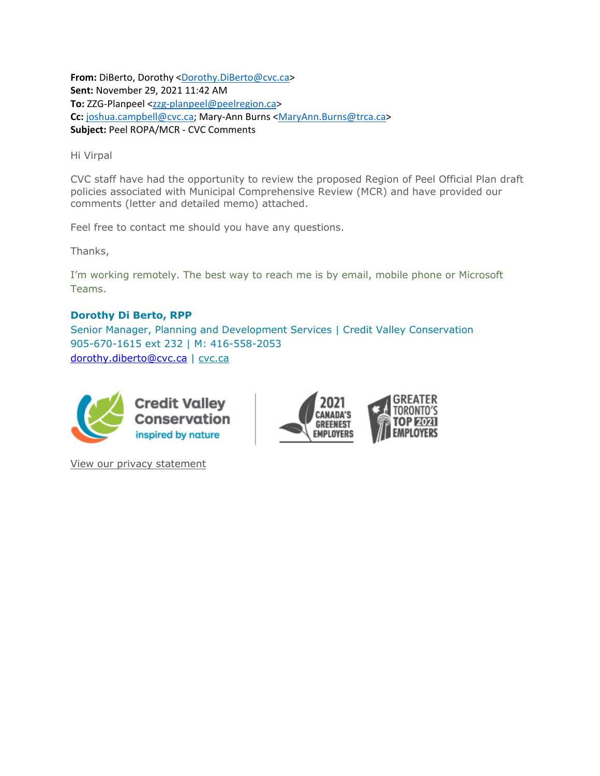**From:** DiBerto, Dorothy <Dorothy.DiBerto@cvc.ca> **Sent:** November 29, 2021 11:42 AM **To:** ZZG‐Planpeel <zzg‐planpeel@peelregion.ca> **Cc:** joshua.campbell@cvc.ca; Mary‐Ann Burns <MaryAnn.Burns@trca.ca> **Subject:** Peel ROPA/MCR ‐ CVC Comments

Hi Virpal

CVC staff have had the opportunity to review the proposed Region of Peel Official Plan draft policies associated with Municipal Comprehensive Review (MCR) and have provided our comments (letter and detailed memo) attached.

Feel free to contact me should you have any questions.

Thanks,

I'm working remotely. The best way to reach me is by email, mobile phone or Microsoft Teams.

## **Dorothy Di Berto, RPP**

Senior Manager, Planning and Development Services | Credit Valley Conservation 905-670-1615 ext 232 | M: 416-558-2053 dorothy.diberto@cvc.ca | cvc.ca



View our privacy statement

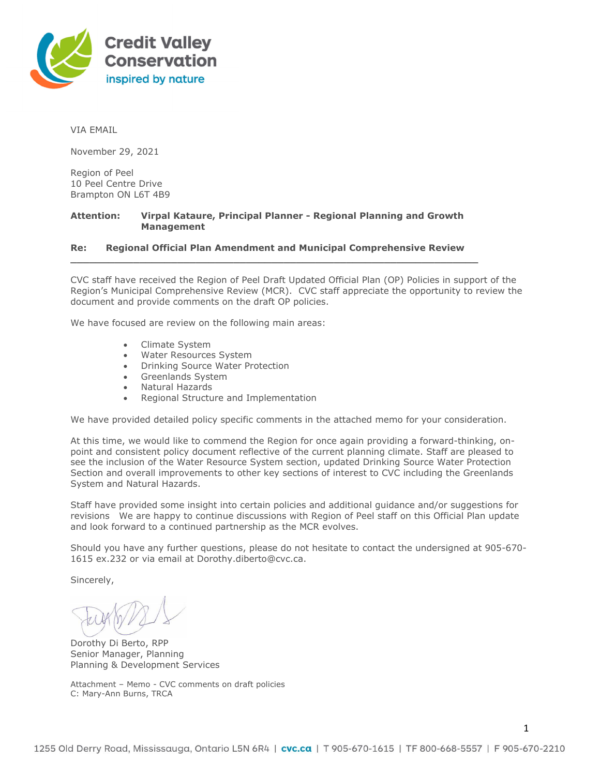

VIA EMAIL

November 29, 2021

Region of Peel 10 Peel Centre Drive Brampton ON L6T 4B9

## **Attention: Virpal Kataure, Principal Planner - Regional Planning and Growth Management**

## **Re: Regional Official Plan Amendment and Municipal Comprehensive Review**

**\_\_\_\_\_\_\_\_\_\_\_\_\_\_\_\_\_\_\_\_\_\_\_\_\_\_\_\_\_\_\_\_\_\_\_\_\_\_\_\_\_\_\_\_\_\_\_\_\_\_\_\_\_\_\_\_\_\_\_\_\_\_\_\_\_** 

CVC staff have received the Region of Peel Draft Updated Official Plan (OP) Policies in support of the Region's Municipal Comprehensive Review (MCR). CVC staff appreciate the opportunity to review the document and provide comments on the draft OP policies.

We have focused are review on the following main areas:

- Climate System
- Water Resources System
- Drinking Source Water Protection
- Greenlands System
- Natural Hazards
- Regional Structure and Implementation

We have provided detailed policy specific comments in the attached memo for your consideration.

At this time, we would like to commend the Region for once again providing a forward-thinking, onpoint and consistent policy document reflective of the current planning climate. Staff are pleased to see the inclusion of the Water Resource System section, updated Drinking Source Water Protection Section and overall improvements to other key sections of interest to CVC including the Greenlands System and Natural Hazards.

Staff have provided some insight into certain policies and additional guidance and/or suggestions for revisions We are happy to continue discussions with Region of Peel staff on this Official Plan update and look forward to a continued partnership as the MCR evolves.

Should you have any further questions, please do not hesitate to contact the undersigned at 905-670- 1615 ex.232 or via email at Dorothy.diberto@cvc.ca.

Sincerely,

Dorothy Di Berto, RPP Senior Manager, Planning Planning & Development Services

Attachment – Memo - CVC comments on draft policies C: Mary-Ann Burns, TRCA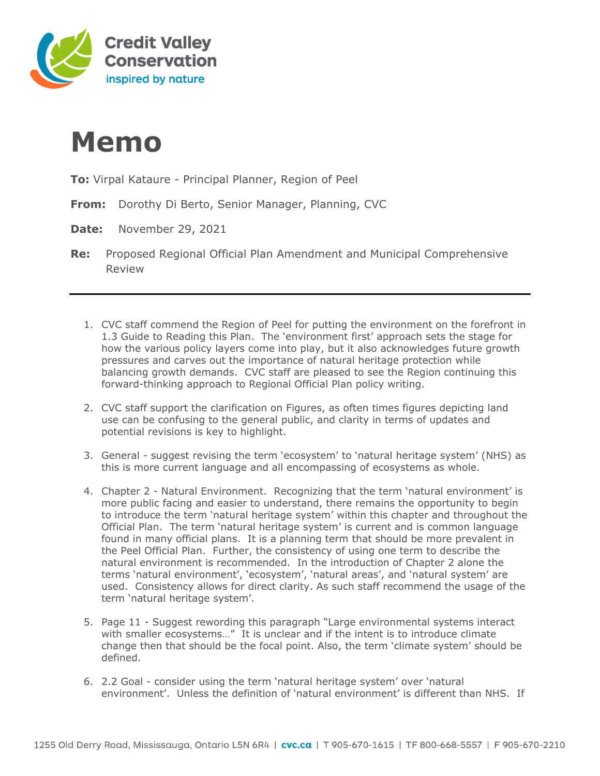

## **Memo**

- **To:** Virpal Kataure Principal Planner, Region of Peel
- **From:** Dorothy Di Berto, Senior Manager, Planning, CVC
- **Date:** November 29, 2021
- **Re:** Proposed Regional Official Plan Amendment and Municipal Comprehensive Review
	- 1. CVC staff commend the Region of Peel for putting the environment on the forefront in 1.3 Guide to Reading this Plan. The 'environment first' approach sets the stage for how the various policy layers come into play, but it also acknowledges future growth pressures and carves out the importance of natural heritage protection while balancing growth demands. CVC staff are pleased to see the Region continuing this forward-thinking approach to Regional Official Plan policy writing.
	- 2. CVC staff support the clarification on Figures, as often times figures depicting land use can be confusing to the general public, and clarity in terms of updates and potential revisions is key to highlight.
	- 3. General suggest revising the term 'ecosystem' to 'natural heritage system' (NHS) as this is more current language and all encompassing of ecosystems as whole.
	- 4. Chapter 2 Natural Environment. Recognizing that the term 'natural environment' is more public facing and easier to understand, there remains the opportunity to begin to introduce the term 'natural heritage system' within this chapter and throughout the Official Plan. The term 'natural heritage system' is current and is common language found in many official plans. It is a planning term that should be more prevalent in the Peel Official Plan. Further, the consistency of using one term to describe the natural environment is recommended. In the introduction of Chapter 2 alone the terms 'natural environment', 'ecosystem', 'natural areas', and 'natural system' are used. Consistency allows for direct clarity. As such staff recommend the usage of the term 'natural heritage system'.
	- 5. Page 11 Suggest rewording this paragraph "Large environmental systems interact with smaller ecosystems..." It is unclear and if the intent is to introduce climate change then that should be the focal point. Also, the term 'climate system' should be defined.
	- 6. 2.2 Goal consider using the term 'natural heritage system' over 'natural environment'. Unless the definition of 'natural environment' is different than NHS. If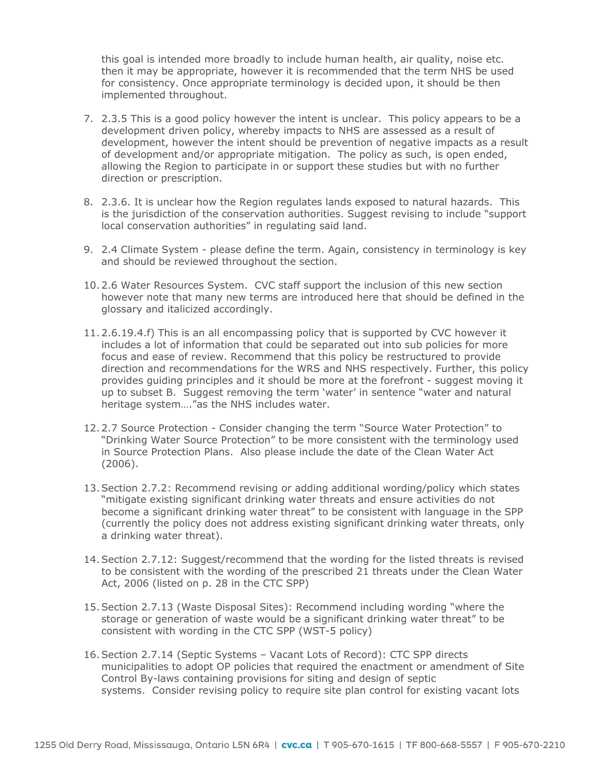this goal is intended more broadly to include human health, air quality, noise etc. then it may be appropriate, however it is recommended that the term NHS be used for consistency. Once appropriate terminology is decided upon, it should be then implemented throughout.

- 7. 2.3.5 This is a good policy however the intent is unclear. This policy appears to be a development driven policy, whereby impacts to NHS are assessed as a result of development, however the intent should be prevention of negative impacts as a result of development and/or appropriate mitigation. The policy as such, is open ended, allowing the Region to participate in or support these studies but with no further direction or prescription.
- 8. 2.3.6. It is unclear how the Region regulates lands exposed to natural hazards. This is the jurisdiction of the conservation authorities. Suggest revising to include "support local conservation authorities" in regulating said land.
- 9. 2.4 Climate System please define the term. Again, consistency in terminology is key and should be reviewed throughout the section.
- 10. 2.6 Water Resources System. CVC staff support the inclusion of this new section however note that many new terms are introduced here that should be defined in the glossary and italicized accordingly.
- 11. 2.6.19.4.f) This is an all encompassing policy that is supported by CVC however it includes a lot of information that could be separated out into sub policies for more focus and ease of review. Recommend that this policy be restructured to provide direction and recommendations for the WRS and NHS respectively. Further, this policy provides guiding principles and it should be more at the forefront - suggest moving it up to subset B. Suggest removing the term 'water' in sentence "water and natural heritage system…."as the NHS includes water.
- 12. 2.7 Source Protection Consider changing the term "Source Water Protection" to "Drinking Water Source Protection" to be more consistent with the terminology used in Source Protection Plans. Also please include the date of the Clean Water Act (2006).
- 13.Section 2.7.2: Recommend revising or adding additional wording/policy which states "mitigate existing significant drinking water threats and ensure activities do not become a significant drinking water threat" to be consistent with language in the SPP (currently the policy does not address existing significant drinking water threats, only a drinking water threat).
- 14.Section 2.7.12: Suggest/recommend that the wording for the listed threats is revised to be consistent with the wording of the prescribed 21 threats under the Clean Water Act, 2006 (listed on p. 28 in the CTC SPP)
- 15.Section 2.7.13 (Waste Disposal Sites): Recommend including wording "where the storage or generation of waste would be a significant drinking water threat" to be consistent with wording in the CTC SPP (WST-5 policy)
- 16.Section 2.7.14 (Septic Systems Vacant Lots of Record): CTC SPP directs municipalities to adopt OP policies that required the enactment or amendment of Site Control By-laws containing provisions for siting and design of septic systems. Consider revising policy to require site plan control for existing vacant lots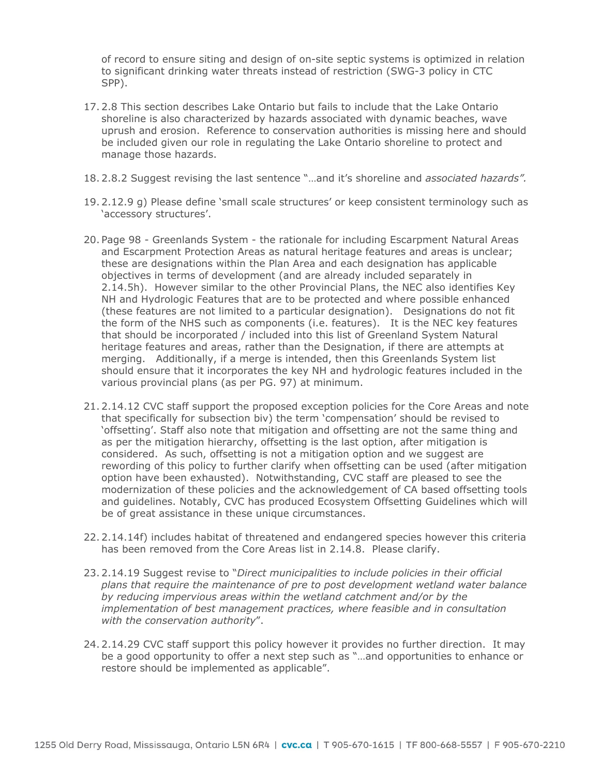of record to ensure siting and design of on-site septic systems is optimized in relation to significant drinking water threats instead of restriction (SWG-3 policy in CTC SPP).

- 17. 2.8 This section describes Lake Ontario but fails to include that the Lake Ontario shoreline is also characterized by hazards associated with dynamic beaches, wave uprush and erosion. Reference to conservation authorities is missing here and should be included given our role in regulating the Lake Ontario shoreline to protect and manage those hazards.
- 18. 2.8.2 Suggest revising the last sentence "…and it's shoreline and *associated hazards".*
- 19. 2.12.9 g) Please define 'small scale structures' or keep consistent terminology such as 'accessory structures'.
- 20. Page 98 Greenlands System the rationale for including Escarpment Natural Areas and Escarpment Protection Areas as natural heritage features and areas is unclear; these are designations within the Plan Area and each designation has applicable objectives in terms of development (and are already included separately in 2.14.5h). However similar to the other Provincial Plans, the NEC also identifies Key NH and Hydrologic Features that are to be protected and where possible enhanced (these features are not limited to a particular designation). Designations do not fit the form of the NHS such as components (i.e. features). It is the NEC key features that should be incorporated / included into this list of Greenland System Natural heritage features and areas, rather than the Designation, if there are attempts at merging. Additionally, if a merge is intended, then this Greenlands System list should ensure that it incorporates the key NH and hydrologic features included in the various provincial plans (as per PG. 97) at minimum.
- 21. 2.14.12 CVC staff support the proposed exception policies for the Core Areas and note that specifically for subsection biv) the term 'compensation' should be revised to 'offsetting'. Staff also note that mitigation and offsetting are not the same thing and as per the mitigation hierarchy, offsetting is the last option, after mitigation is considered. As such, offsetting is not a mitigation option and we suggest are rewording of this policy to further clarify when offsetting can be used (after mitigation option have been exhausted). Notwithstanding, CVC staff are pleased to see the modernization of these policies and the acknowledgement of CA based offsetting tools and guidelines. Notably, CVC has produced Ecosystem Offsetting Guidelines which will be of great assistance in these unique circumstances.
- 22. 2.14.14f) includes habitat of threatened and endangered species however this criteria has been removed from the Core Areas list in 2.14.8. Please clarify.
- 23. 2.14.19 Suggest revise to "*Direct municipalities to include policies in their official plans that require the maintenance of pre to post development wetland water balance by reducing impervious areas within the wetland catchment and/or by the implementation of best management practices, where feasible and in consultation with the conservation authority*".
- 24. 2.14.29 CVC staff support this policy however it provides no further direction. It may be a good opportunity to offer a next step such as "…and opportunities to enhance or restore should be implemented as applicable".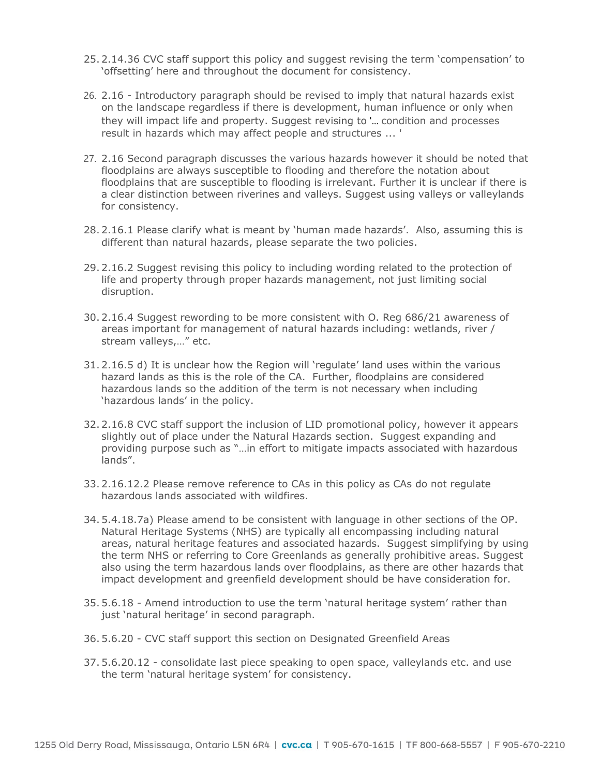- 25. 2.14.36 CVC staff support this policy and suggest revising the term 'compensation' to 'offsetting' here and throughout the document for consistency.
- 26. 2.16 Introductory paragraph should be revised to imply that natural hazards exist on the landscape regardless if there is development, human influence or only when they will impact life and property. Suggest revising to '... condition and processes result in hazards which may affect people and structures ... '
- 27. 2.16 Second paragraph discusses the various hazards however it should be noted that floodplains are always susceptible to flooding and therefore the notation about floodplains that are susceptible to flooding is irrelevant. Further it is unclear if there is a clear distinction between riverines and valleys. Suggest using valleys or valleylands for consistency.
- 28. 2.16.1 Please clarify what is meant by 'human made hazards'. Also, assuming this is different than natural hazards, please separate the two policies.
- 29. 2.16.2 Suggest revising this policy to including wording related to the protection of life and property through proper hazards management, not just limiting social disruption.
- 30. 2.16.4 Suggest rewording to be more consistent with O. Reg 686/21 awareness of areas important for management of natural hazards including: wetlands, river / stream valleys,…" etc.
- 31. 2.16.5 d) It is unclear how the Region will 'regulate' land uses within the various hazard lands as this is the role of the CA. Further, floodplains are considered hazardous lands so the addition of the term is not necessary when including 'hazardous lands' in the policy.
- 32. 2.16.8 CVC staff support the inclusion of LID promotional policy, however it appears slightly out of place under the Natural Hazards section. Suggest expanding and providing purpose such as "…in effort to mitigate impacts associated with hazardous lands".
- 33. 2.16.12.2 Please remove reference to CAs in this policy as CAs do not regulate hazardous lands associated with wildfires.
- 34. 5.4.18.7a) Please amend to be consistent with language in other sections of the OP. Natural Heritage Systems (NHS) are typically all encompassing including natural areas, natural heritage features and associated hazards. Suggest simplifying by using the term NHS or referring to Core Greenlands as generally prohibitive areas. Suggest also using the term hazardous lands over floodplains, as there are other hazards that impact development and greenfield development should be have consideration for.
- 35. 5.6.18 Amend introduction to use the term 'natural heritage system' rather than just 'natural heritage' in second paragraph.
- 36. 5.6.20 CVC staff support this section on Designated Greenfield Areas
- 37. 5.6.20.12 consolidate last piece speaking to open space, valleylands etc. and use the term 'natural heritage system' for consistency.